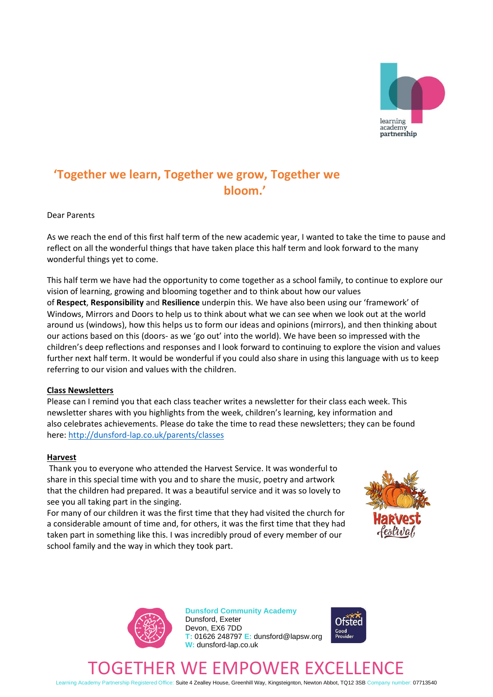

# **'Together we learn, Together we grow, Together we bloom.'**

#### Dear Parents

As we reach the end of this first half term of the new academic year, I wanted to take the time to pause and reflect on all the wonderful things that have taken place this half term and look forward to the many wonderful things yet to come.

This half term we have had the opportunity to come together as a school family, to continue to explore our vision of learning, growing and blooming together and to think about how our values of **Respect**, **Responsibility** and **Resilience** underpin this. We have also been using our 'framework' of Windows, Mirrors and Doors to help us to think about what we can see when we look out at the world around us (windows), how this helps us to form our ideas and opinions (mirrors), and then thinking about our actions based on this (doors- as we 'go out' into the world). We have been so impressed with the children's deep reflections and responses and I look forward to continuing to explore the vision and values further next half term. It would be wonderful if you could also share in using this language with us to keep referring to our vision and values with the children.

#### **Class Newsletters**

Please can I remind you that each class teacher writes a newsletter for their class each week. This newsletter shares with you highlights from the week, children's learning, key information and also celebrates achievements. Please do take the time to read these newsletters; they can be found here: <http://dunsford-lap.co.uk/parents/classes>

#### **Harvest**

Thank you to everyone who attended the Harvest Service. It was wonderful to share in this special time with you and to share the music, poetry and artwork that the children had prepared. It was a beautiful service and it was so lovely to see you all taking part in the singing.

For many of our children it was the first time that they had visited the church for a considerable amount of time and, for others, it was the first time that they had taken part in something like this. I was incredibly proud of every member of our school family and the way in which they took part.





**Dunsford Community Academy** Dunsford, Exeter Devon, EX6 7DD **T:** 01626 248797 **E:** dunsford@lapsw.org **W:** dunsford-lap.co.uk



# ER WE EMPOWER EXCELL

Learning Academy Partnership Registered Office: Suite 4 Zealley House, Greenhill Way, Kingsteignton, Newton Abbot, TQ12 3SB Company number: 07713540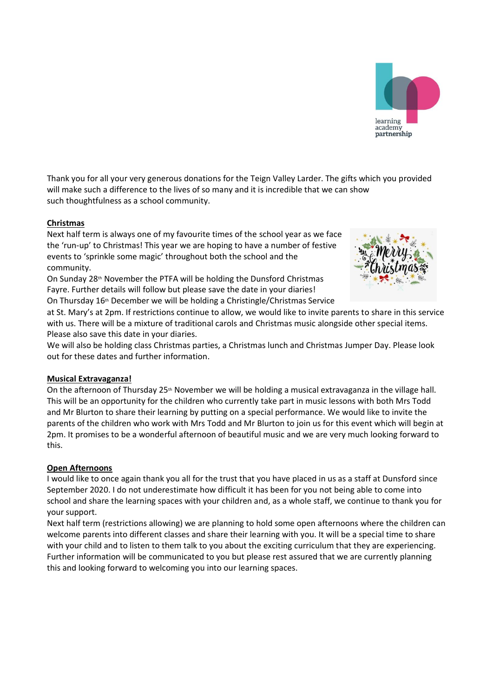

Thank you for all your very generous donations for the Teign Valley Larder. The gifts which you provided will make such a difference to the lives of so many and it is incredible that we can show such thoughtfulness as a school community.

# **Christmas**

Next half term is always one of my favourite times of the school year as we face the 'run-up' to Christmas! This year we are hoping to have a number of festive events to 'sprinkle some magic' throughout both the school and the community.

On Sunday 28<sup>th</sup> November the PTFA will be holding the Dunsford Christmas Fayre. Further details will follow but please save the date in your diaries! On Thursday 16<sup>th</sup> December we will be holding a Christingle/Christmas Service



at St. Mary's at 2pm. If restrictions continue to allow, we would like to invite parents to share in this service with us. There will be a mixture of traditional carols and Christmas music alongside other special items. Please also save this date in your diaries.

We will also be holding class Christmas parties, a Christmas lunch and Christmas Jumper Day. Please look out for these dates and further information.

# **Musical Extravaganza!**

On the afternoon of Thursday  $25<sup>th</sup>$  November we will be holding a musical extravaganza in the village hall. This will be an opportunity for the children who currently take part in music lessons with both Mrs Todd and Mr Blurton to share their learning by putting on a special performance. We would like to invite the parents of the children who work with Mrs Todd and Mr Blurton to join us for this event which will begin at 2pm. It promises to be a wonderful afternoon of beautiful music and we are very much looking forward to this.

# **Open Afternoons**

I would like to once again thank you all for the trust that you have placed in us as a staff at Dunsford since September 2020. I do not underestimate how difficult it has been for you not being able to come into school and share the learning spaces with your children and, as a whole staff, we continue to thank you for your support.

Next half term (restrictions allowing) we are planning to hold some open afternoons where the children can welcome parents into different classes and share their learning with you. It will be a special time to share with your child and to listen to them talk to you about the exciting curriculum that they are experiencing. Further information will be communicated to you but please rest assured that we are currently planning this and looking forward to welcoming you into our learning spaces.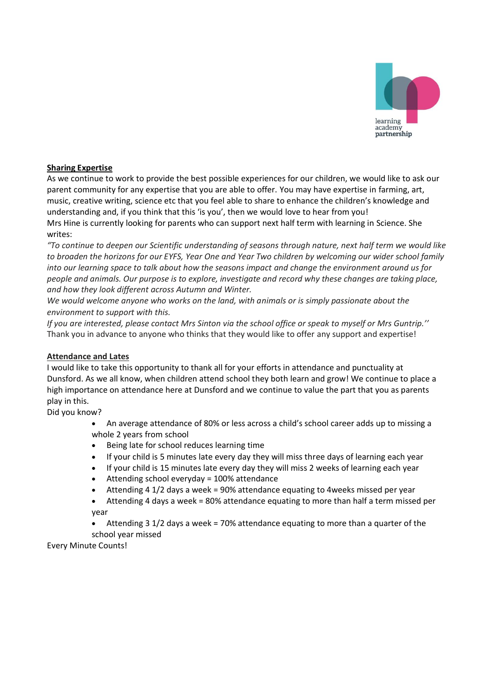

# **Sharing Expertise**

As we continue to work to provide the best possible experiences for our children, we would like to ask our parent community for any expertise that you are able to offer. You may have expertise in farming, art, music, creative writing, science etc that you feel able to share to enhance the children's knowledge and understanding and, if you think that this 'is you', then we would love to hear from you! Mrs Hine is currently looking for parents who can support next half term with learning in Science. She writes:

*"To continue to deepen our Scientific understanding of seasons through nature, next half term we would like to broaden the horizons for our EYFS, Year One and Year Two children by welcoming our wider school family into our learning space to talk about how the seasons impact and change the environment around us for people and animals. Our purpose is to explore, investigate and record why these changes are taking place, and how they look different across Autumn and Winter.*

*We would welcome anyone who works on the land, with animals or is simply passionate about the environment to support with this.*

*If you are interested, please contact Mrs Sinton via the school office or speak to myself or Mrs Guntrip.''* Thank you in advance to anyone who thinks that they would like to offer any support and expertise!

# **Attendance and Lates**

I would like to take this opportunity to thank all for your efforts in attendance and punctuality at Dunsford. As we all know, when children attend school they both learn and grow! We continue to place a high importance on attendance here at Dunsford and we continue to value the part that you as parents play in this.

Did you know?

• An average attendance of 80% or less across a child's school career adds up to missing a whole 2 years from school

- Being late for school reduces learning time
- If your child is 5 minutes late every day they will miss three days of learning each year
- If your child is 15 minutes late every day they will miss 2 weeks of learning each year
- Attending school everyday = 100% attendance
- Attending 4 1/2 days a week = 90% attendance equating to 4weeks missed per year
- Attending 4 days a week = 80% attendance equating to more than half a term missed per year

• Attending 3 1/2 days a week = 70% attendance equating to more than a quarter of the school year missed

Every Minute Counts!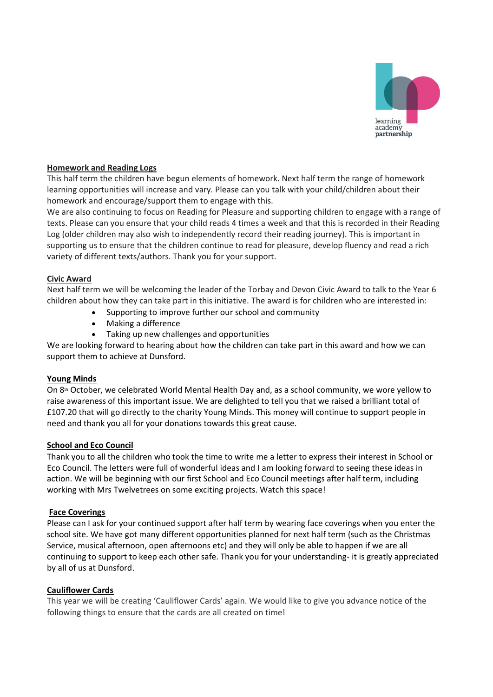

### **Homework and Reading Logs**

This half term the children have begun elements of homework. Next half term the range of homework learning opportunities will increase and vary. Please can you talk with your child/children about their homework and encourage/support them to engage with this.

We are also continuing to focus on Reading for Pleasure and supporting children to engage with a range of texts. Please can you ensure that your child reads 4 times a week and that this is recorded in their Reading Log (older children may also wish to independently record their reading journey). This is important in supporting us to ensure that the children continue to read for pleasure, develop fluency and read a rich variety of different texts/authors. Thank you for your support.

#### **Civic Award**

Next half term we will be welcoming the leader of the Torbay and Devon Civic Award to talk to the Year 6 children about how they can take part in this initiative. The award is for children who are interested in:

- Supporting to improve further our school and community
- Making a difference
- Taking up new challenges and opportunities

We are looking forward to hearing about how the children can take part in this award and how we can support them to achieve at Dunsford.

#### **Young Minds**

On 8th October, we celebrated World Mental Health Day and, as a school community, we wore yellow to raise awareness of this important issue. We are delighted to tell you that we raised a brilliant total of £107.20 that will go directly to the charity Young Minds. This money will continue to support people in need and thank you all for your donations towards this great cause.

#### **School and Eco Council**

Thank you to all the children who took the time to write me a letter to express their interest in School or Eco Council. The letters were full of wonderful ideas and I am looking forward to seeing these ideas in action. We will be beginning with our first School and Eco Council meetings after half term, including working with Mrs Twelvetrees on some exciting projects. Watch this space!

#### **Face Coverings**

Please can I ask for your continued support after half term by wearing face coverings when you enter the school site. We have got many different opportunities planned for next half term (such as the Christmas Service, musical afternoon, open afternoons etc) and they will only be able to happen if we are all continuing to support to keep each other safe. Thank you for your understanding- it is greatly appreciated by all of us at Dunsford.

#### **Cauliflower Cards**

This year we will be creating 'Cauliflower Cards' again. We would like to give you advance notice of the following things to ensure that the cards are all created on time!